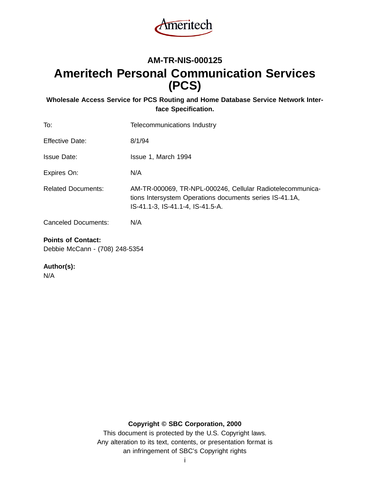

## **AM-TR-NIS-000125**

# **Ameritech Personal Communication Services (PCS)**

**Wholesale Access Service for PCS Routing and Home Database Service Network Interface Specification.**

| To:                        | Telecommunications Industry                                                                                                                              |
|----------------------------|----------------------------------------------------------------------------------------------------------------------------------------------------------|
| <b>Effective Date:</b>     | 8/1/94                                                                                                                                                   |
| <b>Issue Date:</b>         | Issue 1, March 1994                                                                                                                                      |
| Expires On:                | N/A                                                                                                                                                      |
| <b>Related Documents:</b>  | AM-TR-000069, TR-NPL-000246, Cellular Radiotelecommunica-<br>tions Intersystem Operations documents series IS-41.1A,<br>IS-41.1-3, IS-41.1-4, IS-41.5-A. |
| <b>Canceled Documents:</b> | N/A                                                                                                                                                      |

## **Points of Contact:**

Debbie McCann - (708) 248-5354

#### **Author(s):**

N/A

#### **Copyright © SBC Corporation, 2000**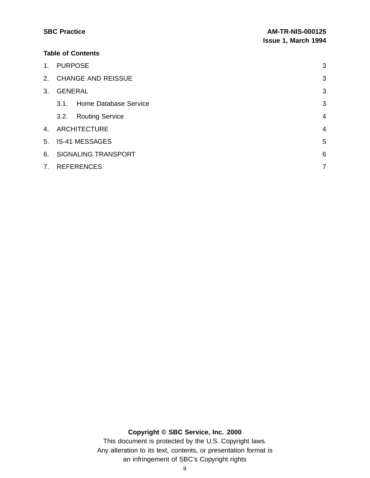|                      | <b>SBC Practice</b>            | <b>AM-TR-NIS-000125</b><br>Issue 1, March 1994 |
|----------------------|--------------------------------|------------------------------------------------|
|                      | <b>Table of Contents</b>       |                                                |
| $1_{-}$              | <b>PURPOSE</b>                 | 3                                              |
| $2^{2}$              | <b>CHANGE AND REISSUE</b><br>3 |                                                |
| <b>GENERAL</b><br>3. |                                | 3                                              |
|                      | Home Database Service<br>3.1.  | 3                                              |
|                      | <b>Routing Service</b><br>3.2. | 4                                              |
| 4.                   | <b>ARCHITECTURE</b>            | 4                                              |

| 5. IS-41 MESSAGES      | 5 |
|------------------------|---|
| 6. SIGNALING TRANSPORT | 6 |
| 7. REFERENCES          |   |

**Copyright © SBC Service, Inc. 2000**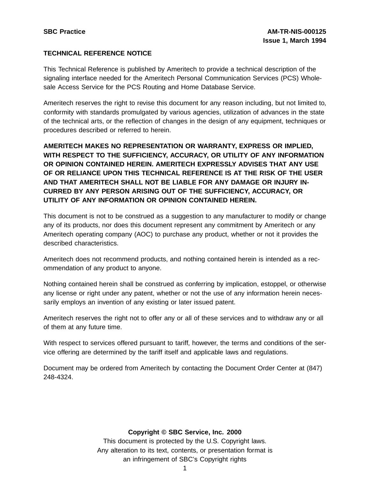#### **TECHNICAL REFERENCE NOTICE**

This Technical Reference is published by Ameritech to provide a technical description of the signaling interface needed for the Ameritech Personal Communication Services (PCS) Wholesale Access Service for the PCS Routing and Home Database Service.

Ameritech reserves the right to revise this document for any reason including, but not limited to, conformity with standards promulgated by various agencies, utilization of advances in the state of the technical arts, or the reflection of changes in the design of any equipment, techniques or procedures described or referred to herein.

**AMERITECH MAKES NO REPRESENTATION OR WARRANTY, EXPRESS OR IMPLIED, WITH RESPECT TO THE SUFFICIENCY, ACCURACY, OR UTILITY OF ANY INFORMATION OR OPINION CONTAINED HEREIN. AMERITECH EXPRESSLY ADVISES THAT ANY USE OF OR RELIANCE UPON THIS TECHNICAL REFERENCE IS AT THE RISK OF THE USER AND THAT AMERITECH SHALL NOT BE LIABLE FOR ANY DAMAGE OR INJURY IN-CURRED BY ANY PERSON ARISING OUT OF THE SUFFICIENCY, ACCURACY, OR UTILITY OF ANY INFORMATION OR OPINION CONTAINED HEREIN.**

This document is not to be construed as a suggestion to any manufacturer to modify or change any of its products, nor does this document represent any commitment by Ameritech or any Ameritech operating company (AOC) to purchase any product, whether or not it provides the described characteristics.

Ameritech does not recommend products, and nothing contained herein is intended as a recommendation of any product to anyone.

Nothing contained herein shall be construed as conferring by implication, estoppel, or otherwise any license or right under any patent, whether or not the use of any information herein necessarily employs an invention of any existing or later issued patent.

Ameritech reserves the right not to offer any or all of these services and to withdraw any or all of them at any future time.

With respect to services offered pursuant to tariff, however, the terms and conditions of the service offering are determined by the tariff itself and applicable laws and regulations.

Document may be ordered from Ameritech by contacting the Document Order Center at (847) 248-4324.

#### **Copyright © SBC Service, Inc. 2000**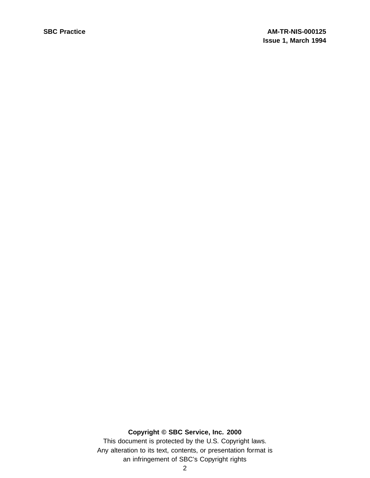## **Copyright © SBC Service, Inc. 2000**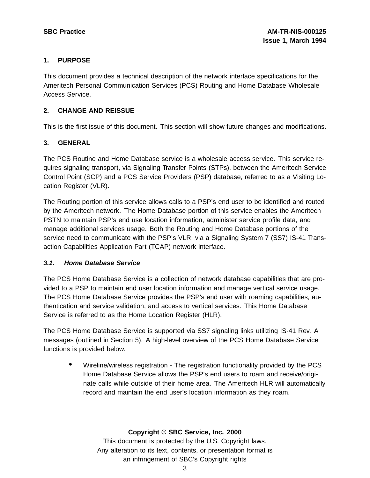#### **1. PURPOSE**

This document provides a technical description of the network interface specifications for the Ameritech Personal Communication Services (PCS) Routing and Home Database Wholesale Access Service.

#### **2. CHANGE AND REISSUE**

This is the first issue of this document. This section will show future changes and modifications.

#### **3. GENERAL**

The PCS Routine and Home Database service is a wholesale access service. This service requires signaling transport, via Signaling Transfer Points (STPs), between the Ameritech Service Control Point (SCP) and a PCS Service Providers (PSP) database, referred to as a Visiting Location Register (VLR).

The Routing portion of this service allows calls to a PSP's end user to be identified and routed by the Ameritech network. The Home Database portion of this service enables the Ameritech PSTN to maintain PSP's end use location information, administer service profile data, and manage additional services usage. Both the Routing and Home Database portions of the service need to communicate with the PSP's VLR, via a Signaling System 7 (SS7) IS-41 Transaction Capabilities Application Part (TCAP) network interface.

#### **3.1. Home Database Service**

The PCS Home Database Service is a collection of network database capabilities that are provided to a PSP to maintain end user location information and manage vertical service usage. The PCS Home Database Service provides the PSP's end user with roaming capabilities, authentication and service validation, and access to vertical services. This Home Database Service is referred to as the Home Location Register (HLR).

The PCS Home Database Service is supported via SS7 signaling links utilizing IS-41 Rev. A messages (outlined in Section 5). A high-level overview of the PCS Home Database Service functions is provided below.

• Wireline/wireless registration - The registration functionality provided by the PCS Home Database Service allows the PSP's end users to roam and receive/originate calls while outside of their home area. The Ameritech HLR will automatically record and maintain the end user's location information as they roam.

#### **Copyright © SBC Service, Inc. 2000**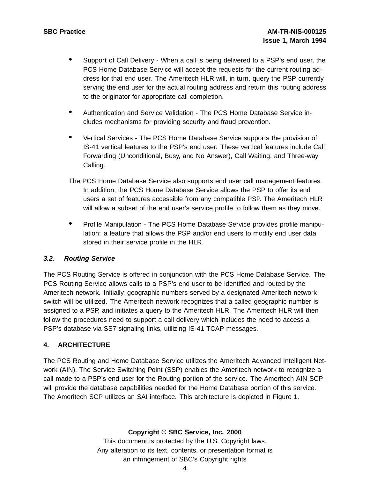- Support of Call Delivery When <sup>a</sup> call is being delivered to <sup>a</sup> PSP's end user, the PCS Home Database Service will accept the requests for the current routing address for that end user. The Ameritech HLR will, in turn, query the PSP currently serving the end user for the actual routing address and return this routing address to the originator for appropriate call completion.
- Authentication and Service Validation The PCS Home Database Service includes mechanisms for providing security and fraud prevention.
- Vertical Services The PCS Home Database Service supports the provision of IS-41 vertical features to the PSP's end user. These vertical features include Call Forwarding (Unconditional, Busy, and No Answer), Call Waiting, and Three-way Calling.
- The PCS Home Database Service also supports end user call management features. In addition, the PCS Home Database Service allows the PSP to offer its end users a set of features accessible from any compatible PSP. The Ameritech HLR will allow a subset of the end user's service profile to follow them as they move.
- Profile Manipulation The PCS Home Database Service provides profile manipulation: a feature that allows the PSP and/or end users to modify end user data stored in their service profile in the HLR.

## **3.2. Routing Service**

The PCS Routing Service is offered in conjunction with the PCS Home Database Service. The PCS Routing Service allows calls to a PSP's end user to be identified and routed by the Ameritech network. Initially, geographic numbers served by a designated Ameritech network switch will be utilized. The Ameritech network recognizes that a called geographic number is assigned to a PSP, and initiates a query to the Ameritech HLR. The Ameritech HLR will then follow the procedures need to support a call delivery which includes the need to access a PSP's database via SS7 signaling links, utilizing IS-41 TCAP messages.

## **4. ARCHITECTURE**

The PCS Routing and Home Database Service utilizes the Ameritech Advanced Intelligent Network (AIN). The Service Switching Point (SSP) enables the Ameritech network to recognize a call made to a PSP's end user for the Routing portion of the service. The Ameritech AIN SCP will provide the database capabilities needed for the Home Database portion of this service. The Ameritech SCP utilizes an SAI interface. This architecture is depicted in Figure 1.

#### **Copyright © SBC Service, Inc. 2000**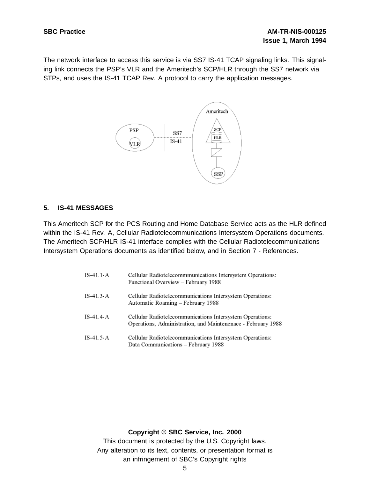The network interface to access this service is via SS7 IS-41 TCAP signaling links. This signaling link connects the PSP's VLR and the Ameritech's SCP/HLR through the SS7 network via STPs, and uses the IS-41 TCAP Rev. A protocol to carry the application messages.



#### **5. IS-41 MESSAGES**

This Ameritech SCP for the PCS Routing and Home Database Service acts as the HLR defined within the IS-41 Rev. A, Cellular Radiotelecommunications Intersystem Operations documents. The Ameritech SCP/HLR IS-41 interface complies with the Cellular Radiotelecommunications Intersystem Operations documents as identified below, and in Section 7 - References.

| $IS-41.1-A$ | Cellular Radiotelecommmunications Intersystem Operations:<br>Functional Overview - February 1988                         |
|-------------|--------------------------------------------------------------------------------------------------------------------------|
| $IS-41.3-A$ | Cellular Radiotelecommunications Intersystem Operations:<br>Automatic Roaming - February 1988                            |
| $IS-41.4-A$ | Cellular Radiotelecommunications Intersystem Operations:<br>Operations, Administration, and Maintenenace - February 1988 |
| $IS-41.5-A$ | Cellular Radiotelecommunications Intersystem Operations:<br>Data Communications - February 1988                          |

#### **Copyright © SBC Service, Inc. 2000**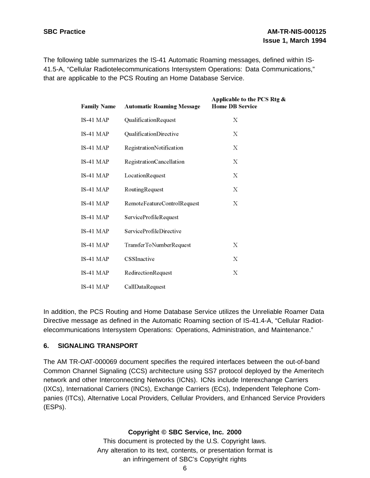The following table summarizes the IS-41 Automatic Roaming messages, defined within IS-41.5-A, "Cellular Radiotelecommunications Intersystem Operations: Data Communications," that are applicable to the PCS Routing an Home Database Service.

| <b>Family Name</b> | <b>Automatic Roaming Message</b> | Applicable to the PCS Rtg &<br><b>Home DB Service</b> |
|--------------------|----------------------------------|-------------------------------------------------------|
| IS-41 MAP          | QualificationRequest             | Х                                                     |
| IS-41 MAP          | QualificationDirective           | Х                                                     |
| IS-41 MAP          | RegistrationNotification         | Х                                                     |
| IS-41 MAP          | RegistrationCancellation         | Х                                                     |
| IS-41 MAP          | LocationRequest                  | Х                                                     |
| IS-41 MAP          | RoutingRequest                   | Х                                                     |
| IS-41 MAP          | RemoteFeatureControlRequest      | Х                                                     |
| IS-41 MAP          | ServiceProfileRequest            |                                                       |
| IS-41 MAP          | ServiceProfileDirective          |                                                       |
| IS-41 MAP          | TransferToNumberRequest          | X                                                     |
| IS-41 MAP          | CSSInactive                      | Х                                                     |
| IS-41 MAP          | RedirectionRequest               | Х                                                     |
| IS-41 MAP          | CallDataRequest                  |                                                       |

In addition, the PCS Routing and Home Database Service utilizes the Unreliable Roamer Data Directive message as defined in the Automatic Roaming section of IS-41.4-A, "Cellular Radiotelecommunications Intersystem Operations: Operations, Administration, and Maintenance."

#### **6. SIGNALING TRANSPORT**

The AM TR-OAT-000069 document specifies the required interfaces between the out-of-band Common Channel Signaling (CCS) architecture using SS7 protocol deployed by the Ameritech network and other Interconnecting Networks (ICNs). ICNs include Interexchange Carriers (IXCs), International Carriers (INCs), Exchange Carriers (ECs), Independent Telephone Companies (ITCs), Alternative Local Providers, Cellular Providers, and Enhanced Service Providers (ESPs).

#### **Copyright © SBC Service, Inc. 2000**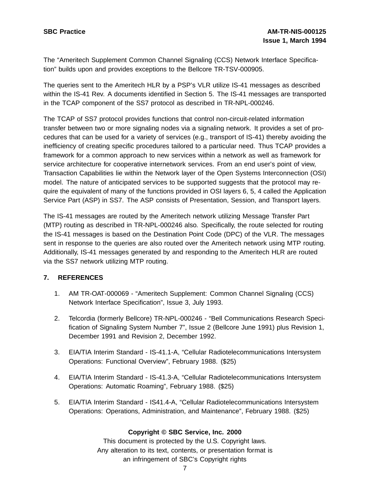The "Ameritech Supplement Common Channel Signaling (CCS) Network Interface Specification" builds upon and provides exceptions to the Bellcore TR-TSV-000905.

The queries sent to the Ameritech HLR by a PSP's VLR utilize IS-41 messages as described within the IS-41 Rev. A documents identified in Section 5. The IS-41 messages are transported in the TCAP component of the SS7 protocol as described in TR-NPL-000246.

The TCAP of SS7 protocol provides functions that control non-circuit-related information transfer between two or more signaling nodes via a signaling network. It provides a set of procedures that can be used for a variety of services (e.g., transport of IS-41) thereby avoiding the inefficiency of creating specific procedures tailored to a particular need. Thus TCAP provides a framework for a common approach to new services within a network as well as framework for service architecture for cooperative internetwork services. From an end user's point of view, Transaction Capabilities lie within the Network layer of the Open Systems Interconnection (OSI) model. The nature of anticipated services to be supported suggests that the protocol may require the equivalent of many of the functions provided in OSI layers 6, 5, 4 called the Application Service Part (ASP) in SS7. The ASP consists of Presentation, Session, and Transport layers.

The IS-41 messages are routed by the Ameritech network utilizing Message Transfer Part (MTP) routing as described in TR-NPL-000246 also. Specifically, the route selected for routing the IS-41 messages is based on the Destination Point Code (DPC) of the VLR. The messages sent in response to the queries are also routed over the Ameritech network using MTP routing. Additionally, IS-41 messages generated by and responding to the Ameritech HLR are routed via the SS7 network utilizing MTP routing.

## **7. REFERENCES**

- 1. AM TR-OAT-000069 "Ameritech Supplement: Common Channel Signaling (CCS) Network Interface Specification", Issue 3, July 1993.
- 2. Telcordia (formerly Bellcore) TR-NPL-000246 "Bell Communications Research Specification of Signaling System Number 7", Issue 2 (Bellcore June 1991) plus Revision 1, December 1991 and Revision 2, December 1992.
- 3. EIA/TIA Interim Standard IS-41.1-A, "Cellular Radiotelecommunications Intersystem Operations: Functional Overview", February 1988. (\$25)
- 4. EIA/TIA Interim Standard IS-41.3-A, "Cellular Radiotelecommunications Intersystem Operations: Automatic Roaming", February 1988. (\$25)
- 5. EIA/TIA Interim Standard IS41.4-A, "Cellular Radiotelecommunications Intersystem Operations: Operations, Administration, and Maintenance", February 1988. (\$25)

#### **Copyright © SBC Service, Inc. 2000**